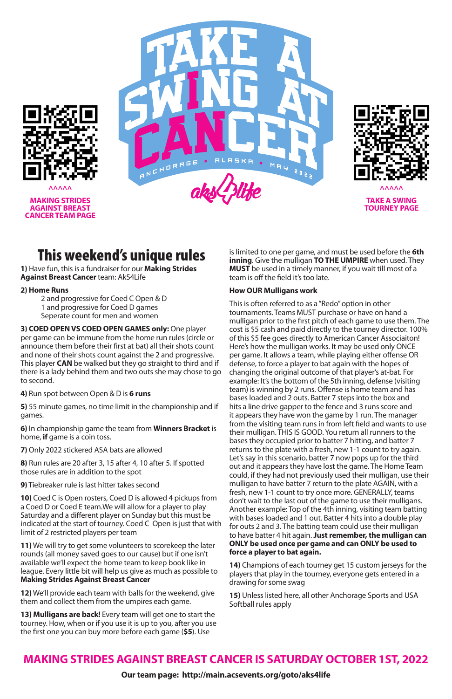# This weekend's unique rules

**1)** Have fun, this is a fundraiser for our **Making Strides Against Breast Cancer** team: AkS4Life

### **2) Home Runs**

2 and progressive for Coed C Open & D 1 and progressive for Coed D games Seperate count for men and women

**3) COED OPEN VS COED OPEN GAMES only:** One player per game can be immune from the home run rules (circle or announce them before their first at bat) all their shots count and none of their shots count against the 2 and progressive. This player **CAN** be walked but they go straight to third and if there is a lady behind them and two outs she may chose to go to second.

**4)** Run spot between Open & D is **6 runs**

**5)** 55 minute games, no time limit in the championship and if games.

**6)** In championship game the team from **Winners Bracket** is home, **if** game is a coin toss.

**7)** Only 2022 stickered ASA bats are allowed

**8)** Run rules are 20 after 3, 15 after 4, 10 after 5. If spotted those rules are in addition to the spot

**9)** Tiebreaker rule is last hitter takes second

**10)** Coed C is Open rosters, Coed D is allowed 4 pickups from a Coed D or Coed E team.We will allow for a player to play Saturday and a different player on Sunday but this must be indicated at the start of tourney. Coed C Open is just that with limit of 2 restricted players per team

**11)** We will try to get some volunteers to scorekeep the later rounds (all money saved goes to our cause) but if one isn't available we'll expect the home team to keep book like in league. Every little bit will help us give as much as possible to **Making Strides Against Breast Cancer**

**12)** We'll provide each team with balls for the weekend, give them and collect them from the umpires each game.

**13) Mulligans are back!** Every team will get one to start the tourney. How, when or if you use it is up to you, after you use the first one you can buy more before each game (**\$5**). Use

is limited to one per game, and must be used before the **6th inning**. Give the mulligan **TO THE UMPIRE** when used. They **MUST** be used in a timely manner, if you wait till most of a team is off the field it's too late.

### **How OUR Mulligans work**

This is often referred to as a "Redo" option in other tournaments. Teams MUST purchase or have on hand a mulligan prior to the first pitch of each game to use them. The cost is \$5 cash and paid directly to the tourney director. 100% of this \$5 fee goes directly to American Cancer Associaiton! Here's how the mulligan works. It may be used only ONCE per game. It allows a team, while playing either offense OR defense, to force a player to bat again with the hopes of changing the original outcome of that player's at-bat. For example: It's the bottom of the 5th inning, defense (visiting team) is winning by 2 runs. Offense is home team and has bases loaded and 2 outs. Batter 7 steps into the box and hits a line drive gapper to the fence and 3 runs score and it appears they have won the game by 1 run. The manager from the visiting team runs in from left field and wants to use their mulligan. THIS IS GOOD. You return all runners to the bases they occupied prior to batter 7 hitting, and batter 7 returns to the plate with a fresh, new 1-1 count to try again. Let's say in this scenario, batter 7 now pops up for the third out and it appears they have lost the game. The Home Team could, if they had not previously used their mulligan, use their mulligan to have batter 7 return to the plate AGAIN, with a fresh, new 1-1 count to try once more. GENERALLY, teams don't wait to the last out of the game to use their mulligans. Another example: Top of the 4th inning, visiting team batting with bases loaded and 1 out. Batter 4 hits into a double play for outs 2 and 3. The batting team could use their mulligan to have batter 4 hit again. **Just remember, the mulligan can ONLY be used once per game and can ONLY be used to force a player to bat again.**

**14)** Champions of each tourney get 15 custom jerseys for the players that play in the tourney, everyone gets entered in a drawing for some swag

**15)** Unless listed here, all other Anchorage Sports and USA Softball rules apply

### **MAKING STRIDES AGAINST BREAST CANCER IS SATURDAY OCTOBER 1ST, 2022**

**Our team page: http://main.acsevents.org/goto/aks4life**

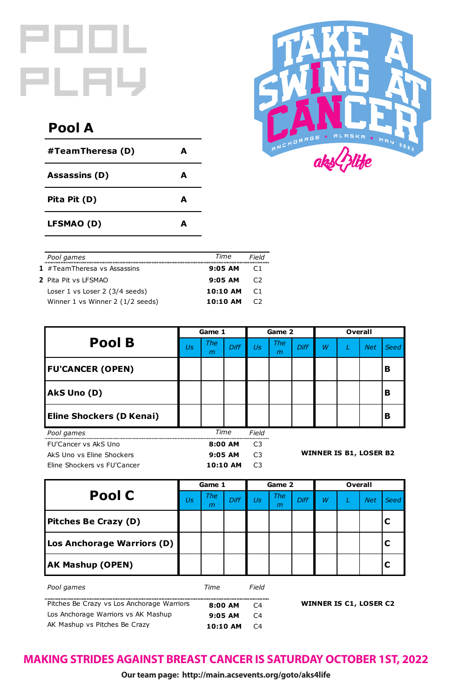| #TeamTheresa (D)     | A |
|----------------------|---|
| <b>Assassins (D)</b> | A |
| Pita Pit (D)         | A |
| <b>LFSMAO (D)</b>    | A |



|                                            |    | Game 1          |                |                | Game 2          |                               |   | <b>Overall</b> |            |             |  |
|--------------------------------------------|----|-----------------|----------------|----------------|-----------------|-------------------------------|---|----------------|------------|-------------|--|
| <b>Pool C</b>                              | Us | <b>The</b><br>m | <b>Diff</b>    | Us             | <b>The</b><br>m | Diff                          | W |                | <b>Net</b> | <b>Seed</b> |  |
| <b>Pitches Be Crazy (D)</b>                |    |                 |                |                |                 |                               |   |                |            |             |  |
| Los Anchorage Warriors (D)                 |    |                 |                |                |                 |                               |   |                |            |             |  |
| <b>AK Mashup (OPEN)</b>                    |    |                 |                |                |                 |                               |   |                |            |             |  |
| Pool games                                 |    | Time            |                | Field          |                 |                               |   |                |            |             |  |
| Pitches Be Crazy vs Los Anchorage Warriors |    | 8:00 AM         | C <sub>4</sub> |                |                 | <b>WINNER IS C1, LOSER C2</b> |   |                |            |             |  |
| Los Anchorage Warriors vs AK Mashup        |    |                 | 9:05 AM        | C <sub>4</sub> |                 |                               |   |                |            |             |  |
| AK Mashup vs Pitches Be Crazy              |    |                 | 10:10 AM       | C <sub>4</sub> |                 |                               |   |                |            |             |  |

| Pool B                          | Game 1 |                 |             | Game 2         |                               |             | <b>Overall</b> |  |            |             |
|---------------------------------|--------|-----------------|-------------|----------------|-------------------------------|-------------|----------------|--|------------|-------------|
|                                 | Us     | <b>The</b><br>m | <b>Diff</b> | Us             | <b>The</b><br>m               | <b>Diff</b> | W              |  | <b>Net</b> | <b>Seed</b> |
| <b>FU'CANCER (OPEN)</b>         |        |                 |             |                |                               |             |                |  |            | B           |
| AkS Uno (D)                     |        |                 |             |                |                               |             |                |  |            | B           |
| <b>Eline Shockers (D Kenai)</b> |        |                 |             |                |                               |             |                |  |            | B           |
| Pool games                      |        |                 | <b>Time</b> | Field          |                               |             |                |  |            |             |
| FU'Cancer vs AkS Uno            |        |                 | 8:00 AM     | C <sub>3</sub> |                               |             |                |  |            |             |
| AkS Uno vs Eline Shockers       |        |                 | 9:05 AM     | C <sub>3</sub> | <b>WINNER IS B1, LOSER B2</b> |             |                |  |            |             |
| Eline Shockers vs FU'Cancer     |        |                 | 10:10 AM    | C <sub>3</sub> |                               |             |                |  |            |             |

| Pool games                       | Time     | Field           |
|----------------------------------|----------|-----------------|
| 1 $#TeamTheresa vs Assassins$    | 9:05 AM  |                 |
| 2 Pita Pit vs LFSMAO             | 9:05AM   | C <sub>2</sub>  |
| Loser 1 vs Loser 2 (3/4 seeds)   | 10:10 AM | $\overline{C1}$ |
| Winner 1 vs Winner 2 (1/2 seeds) | 10:10 AM | C <sub>2</sub>  |

## **Pool A**

# POOL PLAY

## **MAKING STRIDES AGAINST BREAST CANCER IS SATURDAY OCTOBER 1ST, 2022**

**Our team page: http://main.acsevents.org/goto/aks4life**